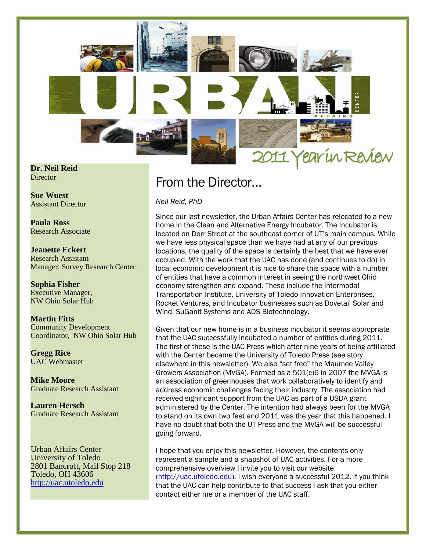

**Dr. Neil Reid Director** 

**Sue Wuest** Assistant Director

**Paula Ross** Research Associate

**Jeanette Eckert** Research Assistant Manager, Survey Research Center

**Sophia Fisher** Executive Manager, NW Ohio Solar Hub

**Martin Fitts** Community Development Coordinator, NW Ohio Solar Hub

**Gregg Rice** UAC Webmaster

**Mike Moore** Graduate Research Assistant

**Lauren Hersch** Graduate Research Assistant

Urban Affairs Center University of Toledo 2801 Bancroft, Mail Stop 218 Toledo, OH 43606 [http://uac.utoledo.edu](http://uac.utoledo.edu/)

### From the Director…

*Neil Reid, PhD*

Since our last newsletter, the Urban Affairs Center has relocated to a new home in the Clean and Alternative Energy Incubator. The Incubator is located on Dorr Street at the southeast corner of UT's main campus. While we have less physical space than we have had at any of our previous locations, the quality of the space is certainly the best that we have ever occupied. With the work that the UAC has done (and continues to do) in local economic development it is nice to share this space with a number of entities that have a common interest in seeing the northwest Ohio economy strengthen and expand. These include the Intermodal Transportation Institute, University of Toledo Innovation Enterprises, Rocket Ventures, and Incubator businesses such as Dovetail Solar and Wind, SuGanit Systems and ADS Biotechnology.

Given that our new home is in a business incubator it seems appropriate that the UAC successfully incubated a number of entities during 2011. The first of these is the UAC Press which after nine years of being affiliated with the Center became the University of Toledo Press (see story elsewhere in this newsletter). We also "set free" the Maumee Valley Growers Association (MVGA). Formed as a 501(c)6 in 2007 the MVGA is an association of greenhouses that work collaboratively to identify and address economic challenges facing their industry. The association had received significant support from the UAC as part of a USDA grant administered by the Center. The intention had always been for the MVGA to stand on its own two feet and 2011 was the year that this happened. I have no doubt that both the UT Press and the MVGA will be successful going forward.

I hope that you enjoy this newsletter. However, the contents only represent a sample and a snapshot of UAC activities. For a more comprehensive overview I invite you to visit our website [\(http://uac.utoledo.edu\)](http://uac.utoledo.edu/). I wish everyone a successful 2012. If you think that the UAC can help contribute to that success I ask that you either contact either me or a member of the UAC staff.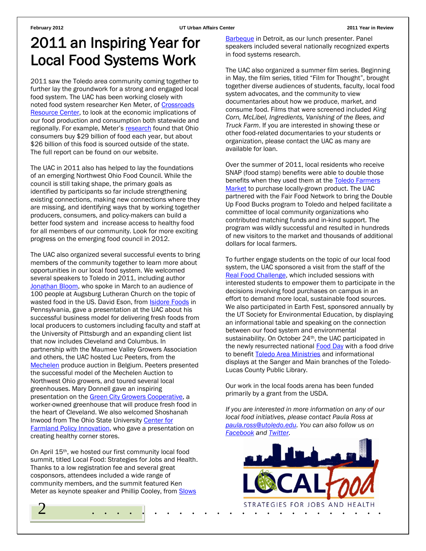### 2011 an Inspiring Year for Local Food Systems Work

2011 saw the Toledo area community coming together to further lay the groundwork for a strong and engaged local food system. The UAC has been working closely with noted food system researcher Ken Meter, of [Crossroads](http://www.crcworks.org/)  [Resource Center,](http://www.crcworks.org/) to look at the economic implications of our food production and consumption both statewide and regionally. For example, Meter's [research](http://uac.utoledo.edu/Publications/ohfood.pdf) found that Ohio consumers buy \$29 billion of food each year, but about \$26 billion of this food is sourced outside of the state. The full report can be found on our website.

The UAC in 2011 also has helped to lay the foundations of an emerging Northwest Ohio Food Council. While the council is still taking shape, the primary goals as identified by participants so far include strengthening existing connections, making new connections where they are missing, and identifying ways that by working together producers, consumers, and policy-makers can build a better food system and increase access to healthy food for all members of our community. Look for more exciting progress on the emerging food council in 2012.

The UAC also organized several successful events to bring members of the community together to learn more about opportunities in our local food system. We welcomed several speakers to Toledo in 2011, including author [Jonathan Bloom,](http://www.wastedfood.com/) who spoke in March to an audience of 100 people at Augsburg Lutheran Church on the topic of wasted food in the US. David Eson, from **Isidore Foods** in Pennsylvania, gave a presentation at the UAC about his successful business model for delivering fresh foods from local producers to customers including faculty and staff at the University of Pittsburgh and an expanding client list that now includes Cleveland and Columbus. In partnership with the Maumee Valley Growers Association and others, the UAC hosted Luc Peeters, from the [Mechelen](http://www.mechelseveilingen.be/) produce auction in Belgium. Peeters presented the successful model of the Mechelen Auction to Northwest Ohio growers, and toured several local greenhouses. Mary Donnell gave an inspiring presentation on the [Green City Growers Cooperative,](http://www.evergreencoop.com/GreenCity/greencity.html) a worker-owned greenhouse that will produce fresh food in the heart of Cleveland. We also welcomed Shoshanah Inwood from The Ohio State University [Center for](http://cffpi.osu.edu/)  [Farmland Policy Innovation,](http://cffpi.osu.edu/) who gave a presentation on creating healthy corner stores.

On April 15th, we hosted our first community local food summit, titled Local Food: Strategies for Jobs and Health. Thanks to a low registration fee and several great cosponsors, attendees included a wide range of community members, and the summit featured Ken Meter as keynote speaker and Phillip Cooley, from [Slows](http://slowsbarbq.com/) 

[Barbeque](http://slowsbarbq.com/) in Detroit, as our lunch presenter. Panel speakers included several nationally recognized experts in food systems research.

The UAC also organized a summer film series. Beginning in May, the film series, titled "Film for Thought", brought together diverse audiences of students, faculty, local food system advocates, and the community to view documentaries about how we produce, market, and consume food. Films that were screened included *King Corn, McLibel, Ingredients, Vanishing of the Bees, and Truck Farm*. If you are interested in showing these or other food-related documentaries to your students or organization, please contact the UAC as many are available for loan.

Over the summer of 2011, local residents who receive SNAP (food stamp) benefits were able to double those benefits when they used them at the Toledo Farmers [Market](http://www.toledofarmersmarket.com/) to purchase locally-grown product. The UAC partnered with the Fair Food Network to bring the Double Up Food Bucks program to Toledo and helped facilitate a committee of local community organizations who contributed matching funds and in-kind support. The program was wildly successful and resulted in hundreds of new visitors to the market and thousands of additional dollars for local farmers.

To further engage students on the topic of our local food system, the UAC sponsored a visit from the staff of the [Real Food Challenge,](http://realfoodchallenge.org/) which included sessions with interested students to empower them to participate in the decisions involving food purchases on campus in an effort to demand more local, sustainable food sources. We also participated in Earth Fest, sponsored annually by the UT Society for Environmental Education, by displaying an informational table and speaking on the connection between our food system and environmental sustainability. On October 24<sup>th</sup>, the UAC participated in the newly resurrected national **Food Day** with a food drive to benefit [Toledo Area Ministries](http://www.tamohio.org/) and informational displays at the Sanger and Main branches of the Toledo-Lucas County Public Library.

Our work in the local foods arena has been funded primarily by a grant from the USDA.

*If you are interested in more information on any of our local food initiatives, please contact Paula Ross at [paula.ross@utoledo.edu.](mailto:paula.ross@utoledo.edu) You can also follow us on [Facebook](https://www.facebook.com/UAC.Local.Food) an[d Twitter.](https://twitter.com/#!/UAC_Local_Food)*

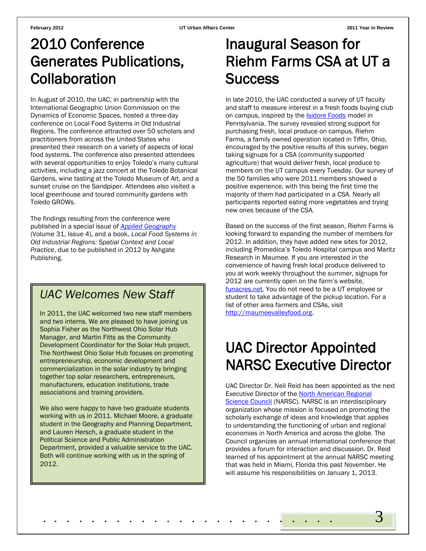## 2010 Conference Generates Publications, Collaboration

In August of 2010, the UAC, in partnership with the International Geographic Union Commission on the Dynamics of Economic Spaces, hosted a three-day conference on Local Food Systems in Old Industrial Regions. The conference attracted over 50 scholars and practitioners from across the United States who presented their research on a variety of aspects of local food systems. The conference also presented attendees with several opportunities to enjoy Toledo's many cultural activities, including a jazz concert at the Toledo Botanical Gardens, wine tasting at the Toledo Museum of Art, and a sunset cruise on the Sandpiper. Attendees also visited a local greenhouse and toured community gardens with Toledo GROWs.

The findings resulting from the conference were published in a special issue of *[Applied Geography](http://www.journals.elsevier.com/applied-geography/)* (Volume 31, Issue 4), and a book, *Local Food Systems in Old Industrial Regions: Spatial Context and Local Practice*, due to be published in 2012 by Ashgate Publishing.

### *UAC Welcomes New Staff*

In 2011, the UAC welcomed two new staff members and two interns. We are pleased to have joining us Sophia Fisher as the Northwest Ohio Solar Hub Manager, and Martin Fitts as the Community Development Coordinator for the Solar Hub project. The Northwest Ohio Solar Hub focuses on promoting entrepreneurship, economic development and commercialization in the solar industry by bringing together top solar researchers, entrepreneurs, manufacturers, education institutions, trade associations and training providers.

We also were happy to have two graduate students working with us in 2011. Michael Moore, a graduate student in the Geography and Planning Department, and Lauren Hersch, a graduate student in the Political Science and Public Administration Department, provided a valuable service to the UAC. Both will continue working with us in the spring of 2012.

# Inaugural Season for Riehm Farms CSA at UT a **Success**

In late 2010, the UAC conducted a survey of UT faculty and staff to measure interest in a fresh foods buying club on campus, inspired by the **Isidore Foods** model in Pennsylvania. The survey revealed strong support for purchasing fresh, local produce on campus. Riehm Farms, a family owned operation located in Tiffin, Ohio, encouraged by the positive results of this survey, began taking signups for a CSA (community supported agriculture) that would deliver fresh, local produce to members on the UT campus every Tuesday. Our survey of the 50 families who were 2011 members showed a positive experience, with this being the first time the majority of them had participated in a CSA. Nearly all participants reported eating more vegetables and trying new ones because of the CSA.

Based on the success of the first season, Riehm Farms is looking forward to expanding the number of members for 2012. In addition, they have added new sites for 2012, including Promedica's Toledo Hospital campus and Maritz Research in Maumee. If you are interested in the convenience of having fresh local produce delivered to you at work weekly throughout the summer, signups for 2012 are currently open on the farm's website, [funacres.net.](http://funacres.net/) You do not need to be a UT employee or student to take advantage of the pickup location. For a list of other area farmers and CSAs, visit [http://maumeevalleyfood.org.](http://maumeevalleyfood.org/)

# UAC Director Appointed NARSC Executive Director

UAC Director Dr. Neil Reid has been appointed as the next Executive Director of the [North American Regional](http://www.narsc.org/newsite/)  [Science Council](http://www.narsc.org/newsite/) (NARSC). NARSC is an interdisciplinary organization whose mission is focused on promoting the scholarly exchange of ideas and knowledge that applies to understanding the functioning of urban and regional economies in North America and across the globe. The Council organizes an annual international conference that provides a forum for interaction and discussion. Dr. Reid learned of his appointment at the annual NARSC meeting that was held in Miami, Florida this past November. He will assume his responsibilities on January 1, 2013.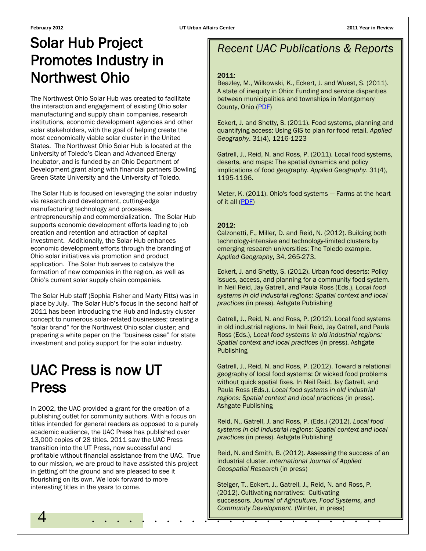## Solar Hub Project Promotes Industry in Northwest Ohio

The Northwest Ohio Solar Hub was created to facilitate the interaction and engagement of existing Ohio solar manufacturing and supply chain companies, research institutions, economic development agencies and other solar stakeholders, with the goal of helping create the most economically viable solar cluster in the United States. The Northwest Ohio Solar Hub is located at the University of Toledo's Clean and Advanced Energy Incubator, and is funded by an Ohio Department of Development grant along with financial partners Bowling Green State University and the University of Toledo.

The Solar Hub is focused on leveraging the solar industry via research and development, cutting-edge manufacturing technology and processes, entrepreneurship and commercialization. The Solar Hub supports economic development efforts leading to job creation and retention and attraction of capital investment. Additionally, the Solar Hub enhances economic development efforts through the branding of Ohio solar initiatives via promotion and product application. The Solar Hub serves to catalyze the formation of new companies in the region, as well as Ohio's current solar supply chain companies.

The Solar Hub staff (Sophia Fisher and Marty Fitts) was in place by July. The Solar Hub's focus in the second half of 2011 has been introducing the Hub and industry cluster concept to numerous solar-related businesses; creating a "solar brand" for the Northwest Ohio solar cluster; and preparing a white paper on the "business case" for state investment and policy support for the solar industry.

### UAC Press is now UT Press

In 2002, the UAC provided a grant for the creation of a publishing outlet for community authors. With a focus on titles intended for general readers as opposed to a purely academic audience, the UAC Press has published over 13,000 copies of 28 titles. 2011 saw the UAC Press transition into the UT Press, now successful and profitable without financial assistance from the UAC. True to our mission, we are proud to have assisted this project in getting off the ground and are pleased to see it flourishing on its own. We look forward to more interesting titles in the years to come.

### *Recent UAC Publications & Reports*

#### 2011:

Beazley, M., Wilkowski, K., Eckert, J. and Wuest, S. (2011). A state of inequity in Ohio: Funding and service disparities between municipalities and townships in Montgomery County, Ohio [\(PDF\)](http://uac.utoledo.edu/Publications/StateOfInequityInOhio2011.pdf)

Eckert, J. and Shetty, S. (2011). Food systems, planning and quantifying access: Using GIS to plan for food retail. *Applied Geography*. 31(4), 1216-1223

Gatrell, J., Reid, N. and Ross, P. (2011). Local food systems, deserts, and maps: The spatial dynamics and policy implications of food geography. *Applied Geography*. 31(4), 1195-1196.

Meter, K. (2011). Ohio's food systems — Farms at the heart of it all [\(PDF\)](http://uac.utoledo.edu/Publications/ohfood.pdf)

### 2012:

Calzonetti, F., Miller, D. and Reid, N. (2012). Building both technology-intensive and technology-limited clusters by emerging research universities: The Toledo example. *Applied Geography*, 34, 265-273.

Eckert, J. and Shetty, S. (2012). Urban food deserts: Policy issues, access, and planning for a community food system. In Neil Reid, Jay Gatrell, and Paula Ross (Eds.), *Local food systems in old industrial regions: Spatial context and local practices* (in press). Ashgate Publishing

Gatrell, J., Reid, N. and Ross, P. (2012). Local food systems in old industrial regions. In Neil Reid, Jay Gatrell, and Paula Ross (Eds.), *Local food systems in old industrial regions: Spatial context and local practices* (in press). Ashgate Publishing

Gatrell, J., Reid, N. and Ross, P. (2012). Toward a relational geography of local food systems: Or wicked food problems without quick spatial fixes. In Neil Reid, Jay Gatrell, and Paula Ross (Eds.), *Local food systems in old industrial regions: Spatial context and local practices* (in press). Ashgate Publishing

Reid, N., Gatrell, J. and Ross, P. (Eds.) (2012). *Local food systems in old industrial regions: Spatial context and local practices* (in press). Ashgate Publishing

Reid, N. and Smith, B. (2012). Assessing the success of an industrial cluster. *International Journal of Applied Geospatial Research* (in press)

4 . . . . . . . . . <u>Commany Beveropment</u>. (whitei, in press) Steiger, T., Eckert, J., Gatrell, J., Reid, N. and Ross, P. (2012). Cultivating narratives: Cultivating successors. *Journal of Agriculture, Food Systems, and Community Development.* (Winter, in press)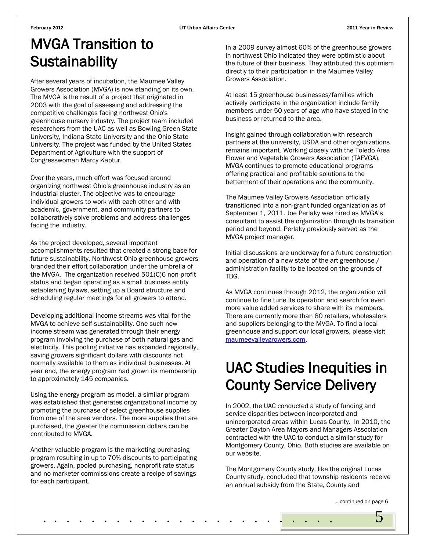# MVGA Transition to **Sustainability**

After several years of incubation, the Maumee Valley Growers Association (MVGA) is now standing on its own. The MVGA is the result of a project that originated in 2003 with the goal of assessing and addressing the competitive challenges facing northwest Ohio's greenhouse nursery industry. The project team included researchers from the UAC as well as Bowling Green State University, Indiana State University and the Ohio State University. The project was funded by the United States Department of Agriculture with the support of Congresswoman Marcy Kaptur.

Over the years, much effort was focused around organizing northwest Ohio's greenhouse industry as an industrial cluster. The objective was to encourage individual growers to work with each other and with academic, government, and community partners to collaboratively solve problems and address challenges facing the industry.

As the project developed, several important accomplishments resulted that created a strong base for future sustainability. Northwest Ohio greenhouse growers branded their effort collaboration under the umbrella of the MVGA. The organization received 501(C)6 non-profit status and began operating as a small business entity establishing bylaws, setting up a Board structure and scheduling regular meetings for all growers to attend.

Developing additional income streams was vital for the MVGA to achieve self-sustainability. One such new income stream was generated through their energy program involving the purchase of both natural gas and electricity. This pooling initiative has expanded regionally, saving growers significant dollars with discounts not normally available to them as individual businesses. At year end, the energy program had grown its membership to approximately 145 companies.

Using the energy program as model, a similar program was established that generates organizational income by promoting the purchase of select greenhouse supplies from one of the area vendors. The more supplies that are purchased, the greater the commission dollars can be contributed to MVGA.

Another valuable program is the marketing purchasing program resulting in up to 70% discounts to participating growers. Again, pooled purchasing, nonprofit rate status and no marketer commissions create a recipe of savings for each participant.

In a 2009 survey almost 60% of the greenhouse growers in northwest Ohio indicated they were optimistic about the future of their business. They attributed this optimism directly to their participation in the Maumee Valley Growers Association.

At least 15 greenhouse businesses/families which actively participate in the organization include family members under 50 years of age who have stayed in the business or returned to the area.

Insight gained through collaboration with research partners at the university, USDA and other organizations remains important. Working closely with the Toledo Area Flower and Vegetable Growers Association (TAFVGA), MVGA continues to promote educational programs offering practical and profitable solutions to the betterment of their operations and the community.

The Maumee Valley Growers Association officially transitioned into a non-grant funded organization as of September 1, 2011. Joe Perlaky was hired as MVGA's consultant to assist the organization through its transition period and beyond. Perlaky previously served as the MVGA project manager.

Initial discussions are underway for a future construction and operation of a new state of the art greenhouse / administration facility to be located on the grounds of TBG.

As MVGA continues through 2012, the organization will continue to fine tune its operation and search for even more value added services to share with its members. There are currently more than 80 retailers, wholesalers and suppliers belonging to the MVGA. To find a local greenhouse and support our local growers, please visit [maumeevalleygrowers.com.](http://www.maumeevalleygrowers.com/)

# UAC Studies Inequities in County Service Delivery

In 2002, the UAC conducted a study of funding and service disparities between incorporated and unincorporated areas within Lucas County. In 2010, the Greater Dayton Area Mayors and Managers Association contracted with the UAC to conduct a similar study for Montgomery County, Ohio. Both studies are available on our website.

The Montgomery County study, like the original Lucas County study, concluded that township residents receive an annual subsidy from the State, County and

. . . . . . . . . . . . . . . . . . . . . . . . 5

…continued on page 6